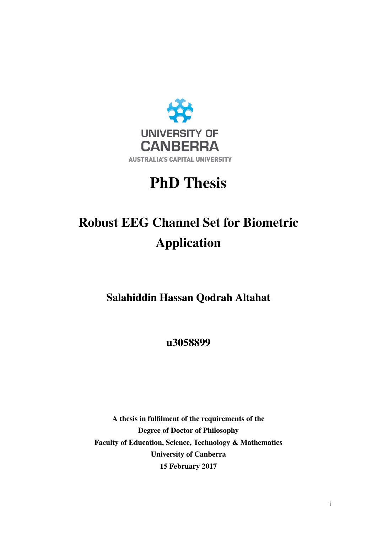

## PhD Thesis

## Robust EEG Channel Set for Biometric Application

Salahiddin Hassan Qodrah Altahat

u3058899

A thesis in fulfilment of the requirements of the Degree of Doctor of Philosophy Faculty of Education, Science, Technology & Mathematics University of Canberra 15 February 2017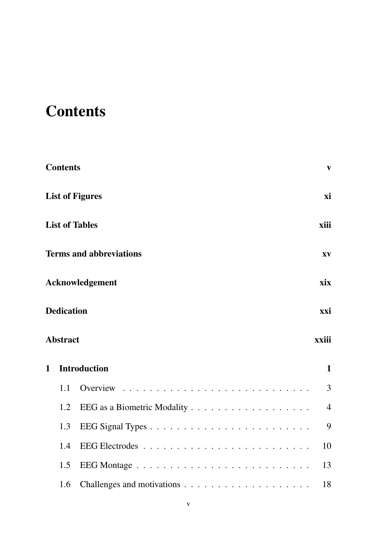## **Contents**

|              | <b>Contents</b>          | $\mathbf{V}$                                             |  |  |  |
|--------------|--------------------------|----------------------------------------------------------|--|--|--|
|              |                          | xi<br><b>List of Figures</b>                             |  |  |  |
|              |                          | <b>List of Tables</b><br>xiii                            |  |  |  |
|              |                          | <b>Terms and abbreviations</b><br>$\mathbf{X}\mathbf{V}$ |  |  |  |
|              |                          | Acknowledgement<br>xix                                   |  |  |  |
|              | <b>Dedication</b><br>xxi |                                                          |  |  |  |
|              | <b>Abstract</b>          | xxiii                                                    |  |  |  |
| $\mathbf{1}$ |                          | <b>Introduction</b><br>$\mathbf{1}$                      |  |  |  |
|              | 1.1                      | 3<br>Overview                                            |  |  |  |
|              | 1.2                      | $\overline{4}$                                           |  |  |  |
|              | 1.3                      | 9                                                        |  |  |  |
|              | 1.4                      | 10                                                       |  |  |  |
|              | 1.5                      | 13                                                       |  |  |  |
|              | 1.6                      | 18                                                       |  |  |  |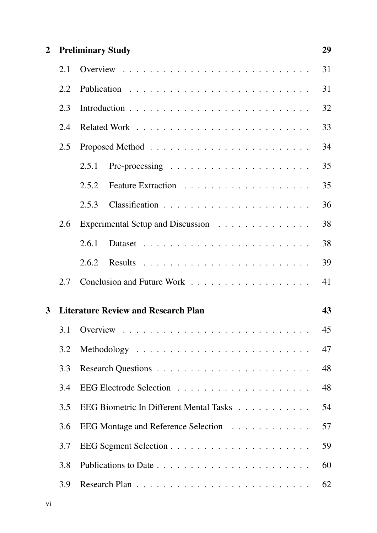#### 2 Preliminary Study 29

|                | 2.1 |                                                                            | 31 |
|----------------|-----|----------------------------------------------------------------------------|----|
|                | 2.2 |                                                                            | 31 |
|                | 2.3 |                                                                            | 32 |
|                | 2.4 |                                                                            | 33 |
|                | 2.5 |                                                                            | 34 |
|                |     | 2.5.1<br>Pre-processing $\ldots \ldots \ldots \ldots \ldots \ldots \ldots$ | 35 |
|                |     | 2.5.2                                                                      | 35 |
|                |     | 2.5.3                                                                      | 36 |
|                | 2.6 | Experimental Setup and Discussion                                          | 38 |
|                |     | 2.6.1                                                                      | 38 |
|                |     | 2.6.2                                                                      | 39 |
|                | 2.7 |                                                                            | 41 |
| $\overline{3}$ |     | <b>Literature Review and Research Plan</b>                                 | 43 |
|                |     |                                                                            |    |
|                | 3.1 |                                                                            | 45 |
|                | 3.2 |                                                                            | 47 |
|                | 3.3 |                                                                            | 48 |
|                | 3.4 |                                                                            | 48 |
|                | 3.5 | EEG Biometric In Different Mental Tasks                                    | 54 |
|                | 3.6 | EEG Montage and Reference Selection                                        | 57 |
|                | 3.7 |                                                                            | 59 |
|                | 3.8 |                                                                            | 60 |
|                |     |                                                                            |    |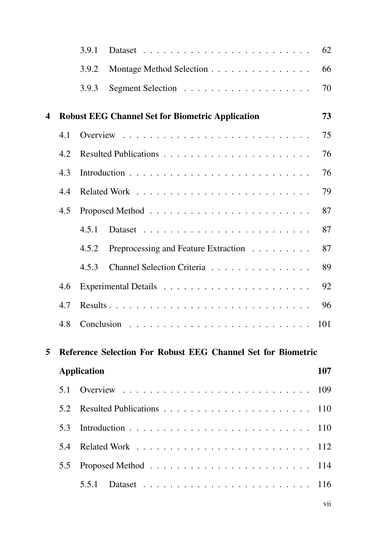|                  |     | 3.9.1                                                        | 62  |
|------------------|-----|--------------------------------------------------------------|-----|
|                  |     | 3.9.2<br>Montage Method Selection                            | 66  |
|                  |     | 3.9.3                                                        | 70  |
| $\boldsymbol{4}$ |     | <b>Robust EEG Channel Set for Biometric Application</b>      | 73  |
|                  | 4.1 |                                                              | 75  |
|                  | 4.2 |                                                              | 76  |
|                  | 4.3 |                                                              | 76  |
|                  | 4.4 |                                                              | 79  |
|                  | 4.5 |                                                              | 87  |
|                  |     | 4.5.1                                                        | 87  |
|                  |     | Preprocessing and Feature Extraction<br>4.5.2                | 87  |
|                  |     | Channel Selection Criteria<br>4.5.3                          | 89  |
|                  | 4.6 |                                                              | 92  |
|                  | 4.7 |                                                              | 96  |
|                  | 4.8 |                                                              | 101 |
| 5                |     | Reference Selection For Robust EEG Channel Set for Biometric |     |
|                  |     | <b>Application</b>                                           | 107 |
|                  | 5.1 |                                                              | 109 |
|                  | 5.2 |                                                              |     |
|                  | 5.3 |                                                              |     |
|                  | 5.4 |                                                              |     |
|                  | 5.5 |                                                              | 114 |
|                  |     | 5.5.1                                                        | 116 |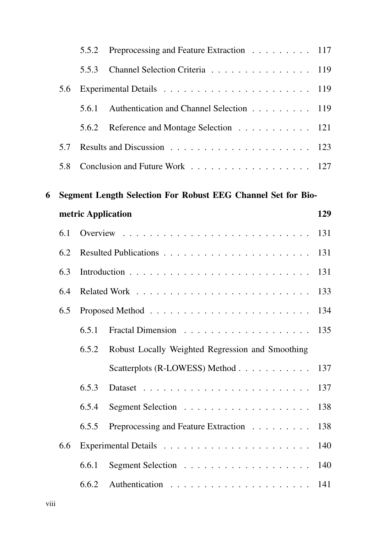|   |     | 5.5.2 | Preprocessing and Feature Extraction 117                      |     |
|---|-----|-------|---------------------------------------------------------------|-----|
|   |     | 5.5.3 | Channel Selection Criteria 119                                |     |
|   | 5.6 |       |                                                               |     |
|   |     | 5.6.1 | Authentication and Channel Selection 119                      |     |
|   |     | 5.6.2 | Reference and Montage Selection 121                           |     |
|   | 5.7 |       |                                                               |     |
|   | 5.8 |       | Conclusion and Future Work 127                                |     |
| 6 |     |       | Segment Length Selection For Robust EEG Channel Set for Bio-  |     |
|   |     |       | metric Application                                            | 129 |
|   | 6.1 |       |                                                               |     |
|   | 6.2 |       |                                                               | 131 |
|   | 6.3 |       |                                                               | 131 |
|   | 6.4 |       |                                                               | 133 |
|   | 6.5 |       |                                                               | 134 |
|   |     | 6.5.1 |                                                               |     |
|   |     | 6.5.2 | Robust Locally Weighted Regression and Smoothing              |     |
|   |     |       | Scatterplots (R-LOWESS) Method 137                            |     |
|   |     | 6.5.3 |                                                               | 137 |
|   |     | 6.5.4 |                                                               | 138 |
|   |     | 6.5.5 | Preprocessing and Feature Extraction                          | 138 |
|   | 6.6 |       |                                                               | 140 |
|   |     | 6.6.1 | Segment Selection $\ldots \ldots \ldots \ldots \ldots \ldots$ | 140 |
|   |     | 6.6.2 |                                                               |     |
|   |     |       |                                                               |     |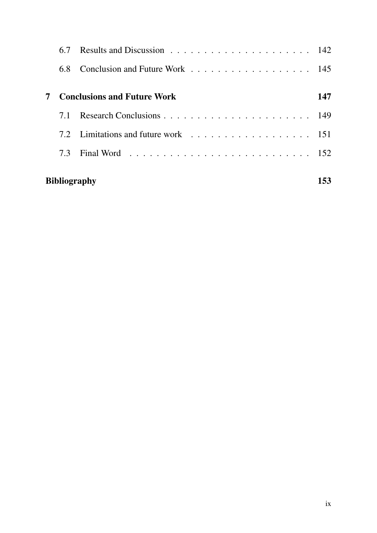|                            | 67               |                                    |     |
|----------------------------|------------------|------------------------------------|-----|
|                            | 6.8              | Conclusion and Future Work 145     |     |
|                            |                  | <b>Conclusions and Future Work</b> | 147 |
|                            | 7.1              |                                    |     |
|                            | 7.2 <sub>1</sub> |                                    |     |
|                            | 7.3              |                                    |     |
| <b>Bibliography</b><br>153 |                  |                                    |     |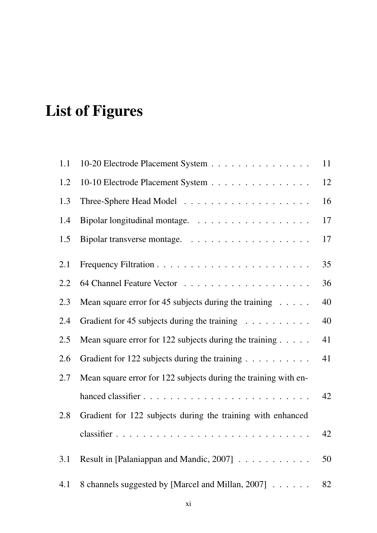# List of Figures

| 1.1 | 10-20 Electrode Placement System                                 | 11 |
|-----|------------------------------------------------------------------|----|
| 1.2 | 10-10 Electrode Placement System                                 | 12 |
| 1.3 |                                                                  | 16 |
| 1.4 |                                                                  | 17 |
| 1.5 |                                                                  | 17 |
| 2.1 |                                                                  | 35 |
| 2.2 |                                                                  | 36 |
| 2.3 | Mean square error for 45 subjects during the training $\dots$ .  | 40 |
| 2.4 | Gradient for 45 subjects during the training                     | 40 |
| 2.5 | Mean square error for 122 subjects during the training $\dots$ . | 41 |
| 2.6 | Gradient for 122 subjects during the training                    | 41 |
| 2.7 | Mean square error for 122 subjects during the training with en-  |    |
|     |                                                                  | 42 |
| 2.8 | Gradient for 122 subjects during the training with enhanced      |    |
|     |                                                                  | 42 |
| 3.1 | Result in [Palaniappan and Mandic, 2007]                         | 50 |
| 4.1 | 8 channels suggested by [Marcel and Millan, 2007]                | 82 |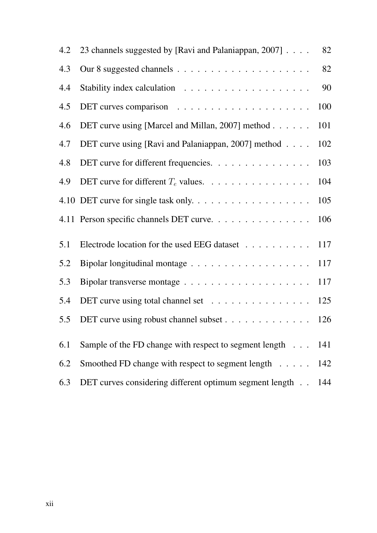| 4.2 | 23 channels suggested by [Ravi and Palaniappan, 2007]   | 82  |
|-----|---------------------------------------------------------|-----|
| 4.3 |                                                         | 82  |
| 4.4 |                                                         | 90  |
| 4.5 |                                                         | 100 |
| 4.6 | DET curve using [Marcel and Millan, 2007] method        | 101 |
| 4.7 | DET curve using [Ravi and Palaniappan, 2007] method     | 102 |
| 4.8 | DET curve for different frequencies.                    | 103 |
| 4.9 | DET curve for different $T_e$ values.                   | 104 |
|     | 4.10 DET curve for single task only                     | 105 |
|     | 4.11 Person specific channels DET curve.                | 106 |
| 5.1 | Electrode location for the used EEG dataset             | 117 |
| 5.2 |                                                         | 117 |
| 5.3 |                                                         | 117 |
| 5.4 | DET curve using total channel set                       | 125 |
| 5.5 | DET curve using robust channel subset                   | 126 |
| 6.1 | Sample of the FD change with respect to segment length  | 141 |
| 6.2 | Smoothed FD change with respect to segment length 142   |     |
| 6.3 | DET curves considering different optimum segment length | 144 |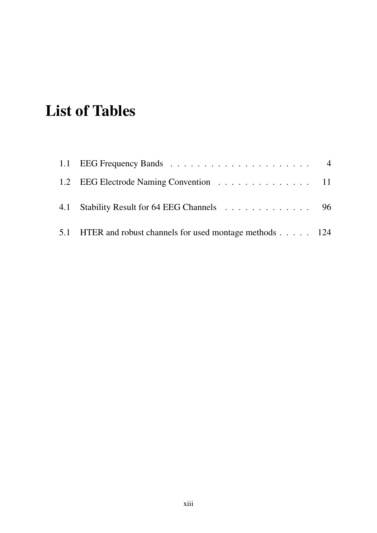## List of Tables

| 1.2 EEG Electrode Naming Convention 11                    |  |
|-----------------------------------------------------------|--|
| 4.1 Stability Result for 64 EEG Channels 96               |  |
| 5.1 HTER and robust channels for used montage methods 124 |  |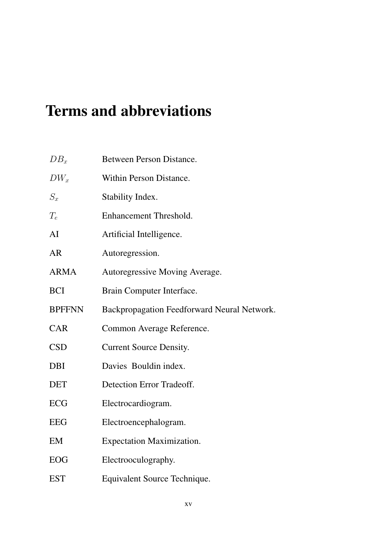## Terms and abbreviations

| $DB_x$        | <b>Between Person Distance.</b>             |
|---------------|---------------------------------------------|
| $DW_x$        | Within Person Distance.                     |
| $S_x$         | Stability Index.                            |
| $T_e$         | Enhancement Threshold.                      |
| AI            | Artificial Intelligence.                    |
| <b>AR</b>     | Autoregression.                             |
| <b>ARMA</b>   | Autoregressive Moving Average.              |
| <b>BCI</b>    | Brain Computer Interface.                   |
| <b>BPFFNN</b> | Backpropagation Feedforward Neural Network. |
| <b>CAR</b>    | Common Average Reference.                   |
| <b>CSD</b>    | <b>Current Source Density.</b>              |
| <b>DBI</b>    | Davies Bouldin index.                       |
| <b>DET</b>    | Detection Error Tradeoff.                   |
| <b>ECG</b>    | Electrocardiogram.                          |
| <b>EEG</b>    | Electroencephalogram.                       |
| EM            | <b>Expectation Maximization.</b>            |
| <b>EOG</b>    | Electrooculography.                         |
| <b>EST</b>    | Equivalent Source Technique.                |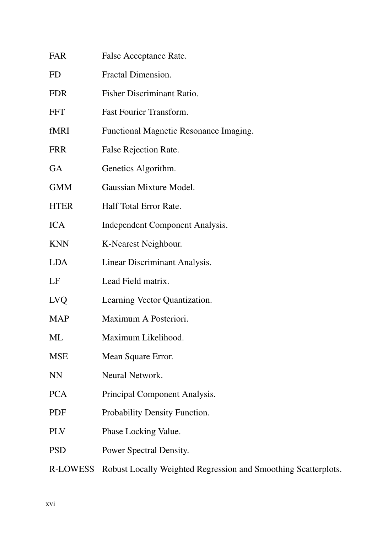| <b>FAR</b>  | False Acceptance Rate.                                         |
|-------------|----------------------------------------------------------------|
| <b>FD</b>   | Fractal Dimension.                                             |
| <b>FDR</b>  | Fisher Discriminant Ratio.                                     |
| <b>FFT</b>  | <b>Fast Fourier Transform.</b>                                 |
| fMRI        | Functional Magnetic Resonance Imaging.                         |
| <b>FRR</b>  | False Rejection Rate.                                          |
| <b>GA</b>   | Genetics Algorithm.                                            |
| <b>GMM</b>  | Gaussian Mixture Model.                                        |
| <b>HTER</b> | Half Total Error Rate.                                         |
| <b>ICA</b>  | Independent Component Analysis.                                |
| <b>KNN</b>  | K-Nearest Neighbour.                                           |
| <b>LDA</b>  | Linear Discriminant Analysis.                                  |
| LF          | Lead Field matrix.                                             |
| <b>LVQ</b>  | Learning Vector Quantization.                                  |
| <b>MAP</b>  | Maximum A Posteriori.                                          |
| ML          | Maximum Likelihood.                                            |
| <b>MSE</b>  | Mean Square Error.                                             |
| <b>NN</b>   | Neural Network.                                                |
| <b>PCA</b>  | Principal Component Analysis.                                  |
| <b>PDF</b>  | Probability Density Function.                                  |
| <b>PLV</b>  | Phase Locking Value.                                           |
| <b>PSD</b>  | Power Spectral Density.                                        |
| R-LOWESS    | Robust Locally Weighted Regression and Smoothing Scatterplots. |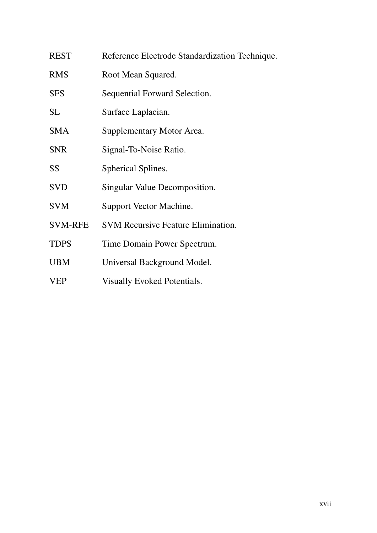| <b>REST</b>    | Reference Electrode Standardization Technique. |
|----------------|------------------------------------------------|
| <b>RMS</b>     | Root Mean Squared.                             |
| <b>SFS</b>     | Sequential Forward Selection.                  |
| <b>SL</b>      | Surface Laplacian.                             |
| <b>SMA</b>     | Supplementary Motor Area.                      |
| <b>SNR</b>     | Signal-To-Noise Ratio.                         |
| SS             | Spherical Splines.                             |
| <b>SVD</b>     | Singular Value Decomposition.                  |
| <b>SVM</b>     | Support Vector Machine.                        |
| <b>SVM-RFE</b> | <b>SVM Recursive Feature Elimination.</b>      |
| <b>TDPS</b>    | Time Domain Power Spectrum.                    |
| <b>UBM</b>     | Universal Background Model.                    |
| <b>VEP</b>     | <b>Visually Evoked Potentials.</b>             |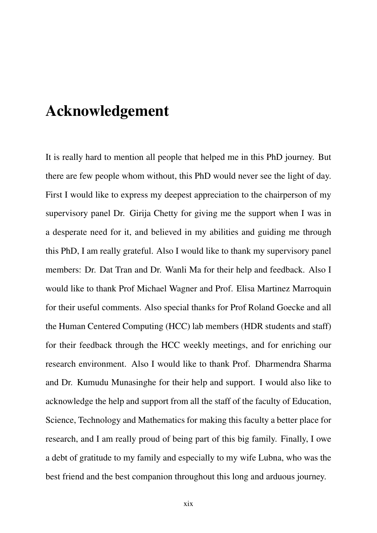### Acknowledgement

It is really hard to mention all people that helped me in this PhD journey. But there are few people whom without, this PhD would never see the light of day. First I would like to express my deepest appreciation to the chairperson of my supervisory panel Dr. Girija Chetty for giving me the support when I was in a desperate need for it, and believed in my abilities and guiding me through this PhD, I am really grateful. Also I would like to thank my supervisory panel members: Dr. Dat Tran and Dr. Wanli Ma for their help and feedback. Also I would like to thank Prof Michael Wagner and Prof. Elisa Martinez Marroquin for their useful comments. Also special thanks for Prof Roland Goecke and all the Human Centered Computing (HCC) lab members (HDR students and staff) for their feedback through the HCC weekly meetings, and for enriching our research environment. Also I would like to thank Prof. Dharmendra Sharma and Dr. Kumudu Munasinghe for their help and support. I would also like to acknowledge the help and support from all the staff of the faculty of Education, Science, Technology and Mathematics for making this faculty a better place for research, and I am really proud of being part of this big family. Finally, I owe a debt of gratitude to my family and especially to my wife Lubna, who was the best friend and the best companion throughout this long and arduous journey.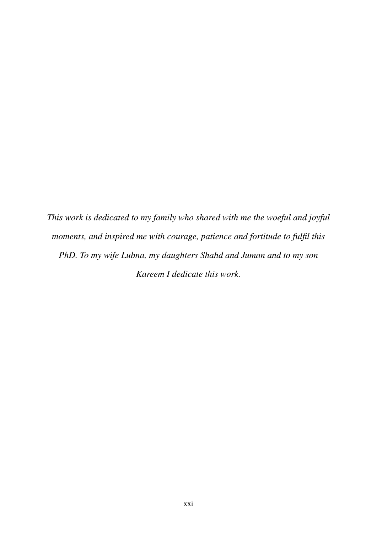*This work is dedicated to my family who shared with me the woeful and joyful moments, and inspired me with courage, patience and fortitude to fulfil this PhD. To my wife Lubna, my daughters Shahd and Juman and to my son Kareem I dedicate this work.*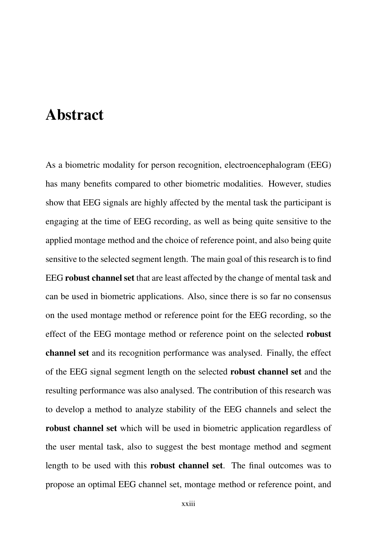### Abstract

As a biometric modality for person recognition, electroencephalogram (EEG) has many benefits compared to other biometric modalities. However, studies show that EEG signals are highly affected by the mental task the participant is engaging at the time of EEG recording, as well as being quite sensitive to the applied montage method and the choice of reference point, and also being quite sensitive to the selected segment length. The main goal of this research is to find EEG robust channel set that are least affected by the change of mental task and can be used in biometric applications. Also, since there is so far no consensus on the used montage method or reference point for the EEG recording, so the effect of the EEG montage method or reference point on the selected robust channel set and its recognition performance was analysed. Finally, the effect of the EEG signal segment length on the selected robust channel set and the resulting performance was also analysed. The contribution of this research was to develop a method to analyze stability of the EEG channels and select the robust channel set which will be used in biometric application regardless of the user mental task, also to suggest the best montage method and segment length to be used with this robust channel set. The final outcomes was to propose an optimal EEG channel set, montage method or reference point, and